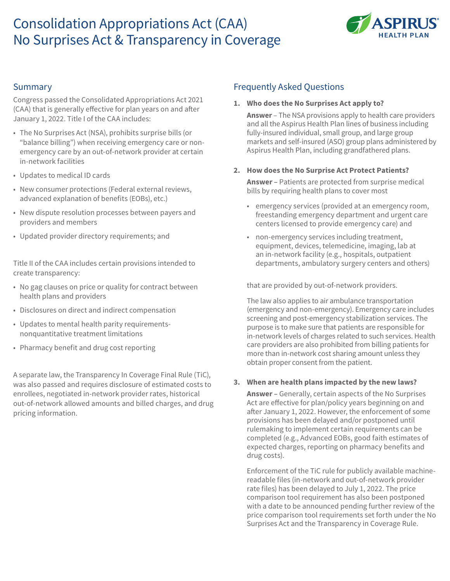# Consolidation Appropriations Act (CAA) No Surprises Act & Transparency in Coverage



# **Summary**

Congress passed the Consolidated Appropriations Act 2021 (CAA) that is generally effective for plan years on and after January 1, 2022. Title I of the CAA includes:

- The No Surprises Act (NSA), prohibits surprise bills (or "balance billing") when receiving emergency care or nonemergency care by an out-of-network provider at certain in-network facilities
- Updates to medical ID cards
- New consumer protections (Federal external reviews, advanced explanation of benefits (EOBs), etc.)
- New dispute resolution processes between payers and providers and members
- Updated provider directory requirements; and

Title II of the CAA includes certain provisions intended to create transparency:

- No gag clauses on price or quality for contract between health plans and providers
- Disclosures on direct and indirect compensation
- Updates to mental health parity requirementsnonquantitative treatment limitations
- Pharmacy benefit and drug cost reporting

A separate law, the Transparency In Coverage Final Rule (TiC), was also passed and requires disclosure of estimated costs to enrollees, negotiated in-network provider rates, historical out-of-network allowed amounts and billed charges, and drug pricing information.

# Frequently Asked Questions

**1. Who does the No Surprises Act apply to?** 

**Answer** – The NSA provisions apply to health care providers and all the Aspirus Health Plan lines of business including fully-insured individual, small group, and large group markets and self-insured (ASO) group plans administered by Aspirus Health Plan, including grandfathered plans.

**2. How does the No Surprise Act Protect Patients?** 

**Answer –** Patients are protected from surprise medical bills by requiring health plans to cover most

- emergency services (provided at an emergency room, freestanding emergency department and urgent care centers licensed to provide emergency care) and
- non-emergency services including treatment, equipment, devices, telemedicine, imaging, lab at an in-network facility (e.g., hospitals, outpatient departments, ambulatory surgery centers and others)

that are provided by out-of-network providers.

The law also applies to air ambulance transportation (emergency and non-emergency). Emergency care includes screening and post-emergency stabilization services. The purpose is to make sure that patients are responsible for in-network levels of charges related to such services. Health care providers are also prohibited from billing patients for more than in-network cost sharing amount unless they obtain proper consent from the patient.

#### **3. When are health plans impacted by the new laws?**

**Answer –** Generally, certain aspects of the No Surprises Act are effective for plan/policy years beginning on and after January 1, 2022. However, the enforcement of some provisions has been delayed and/or postponed until rulemaking to implement certain requirements can be completed (e.g., Advanced EOBs, good faith estimates of expected charges, reporting on pharmacy benefits and drug costs).

Enforcement of the TiC rule for publicly available machinereadable files (in-network and out-of-network provider rate files) has been delayed to July 1, 2022. The price comparison tool requirement has also been postponed with a date to be announced pending further review of the price comparison tool requirements set forth under the No Surprises Act and the Transparency in Coverage Rule.